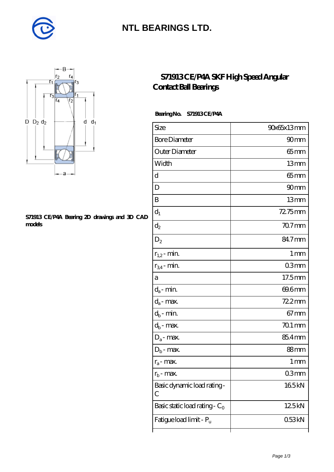

### **[NTL BEARINGS LTD.](https://diabetesfriends.net)**



#### **[S71913 CE/P4A Bearing 2D drawings and 3D CAD](https://diabetesfriends.net/pic-590739.html) [models](https://diabetesfriends.net/pic-590739.html)**

### **[S71913 CE/P4A SKF High Speed Angular](https://diabetesfriends.net/skf-bearing/s71913-ce-p4a.html) [Contact Ball Bearings](https://diabetesfriends.net/skf-bearing/s71913-ce-p4a.html)**

#### **Bearing No. S71913 CE/P4A**

| Size                             | 90x65x13mm        |
|----------------------------------|-------------------|
| <b>Bore Diameter</b>             | 90 <sub>mm</sub>  |
| Outer Diameter                   | $65$ mm           |
| Width                            | 13mm              |
| d                                | $65$ mm           |
| D                                | 90mm              |
| B                                | 13mm              |
| $d_1$                            | $7275$ mm         |
| $\mathrm{d}_2$                   | 70.7mm            |
| $D_2$                            | 84.7mm            |
| $r_{1,2}$ - min.                 | $1 \,\mathrm{mm}$ |
| $r_{34}$ - min.                  | 03mm              |
| а                                | 17.5mm            |
| $d_a$ - min.                     | 69.6mm            |
| $d_a$ - max.                     | 72.2mm            |
| $d_b$ - min.                     | $67 \text{mm}$    |
| $d_b$ - max.                     | $701$ mm          |
| $D_a$ - max.                     | 85.4mm            |
| $D_b$ - max.                     | 88mm              |
| $r_a$ - max.                     | 1 <sub>mm</sub>   |
| $r_{\rm b}$ - max.               | Q3mm              |
| Basic dynamic load rating-<br>С  | 165kN             |
| Basic static load rating - $C_0$ | 125kN             |
| Fatigue load limit - Pu          | 053kN             |
|                                  |                   |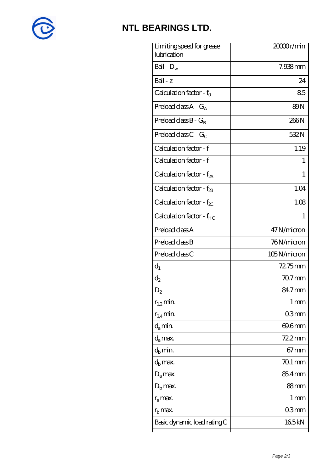

# **[NTL BEARINGS LTD.](https://diabetesfriends.net)**

| Limiting speed for grease<br>lubrication | 20000r/min     |
|------------------------------------------|----------------|
| Ball - $D_w$                             | 7.938mm        |
| $Ball - z$                               | 24             |
| Calculation factor - $f_0$               | 85             |
| Preload class $A - G_A$                  | 89N            |
| Preload class $B - G_B$                  | 266N           |
| Preload class C - $G_C$                  | 532N           |
| Calculation factor - f                   | 1.19           |
| Calculation factor - f                   | T              |
| Calculation factor - $f_{2A}$            | T              |
| Calculation factor - $f_{\mathcal{B}}$   | 1.04           |
| Calculation factor - $f_{\chi}$          | 1.08           |
| Calculation factor - f <sub>HC</sub>     | 1              |
| Preload class A                          | 47N/micron     |
| Preload class B                          | 76N/micron     |
| Preload class C                          | 105N/micron    |
| $d_1$                                    | $72.75$ mm     |
| $d_2$                                    | $707$ mm       |
| $\mathrm{D}_2$                           | 84.7mm         |
| $r_{1,2}$ min.                           | 1 mm           |
| $r_{34}$ min.                            | 03mm           |
| $d_{a}$ min.                             | 69.6mm         |
| $d_a$ max.                               | $722$ mm       |
| $d_h$ min.                               | $67 \text{mm}$ |
| $d_h$ max.                               | $701$ mm       |
| $D_a$ max.                               | 85.4mm         |
| $D_{\rm b}$ max.                         | 88mm           |
| $r_a$ max.                               | 1 mm           |
| $r_{\rm b}$ max.                         | 03mm           |
| Basic dynamic load rating C              | 165kN          |